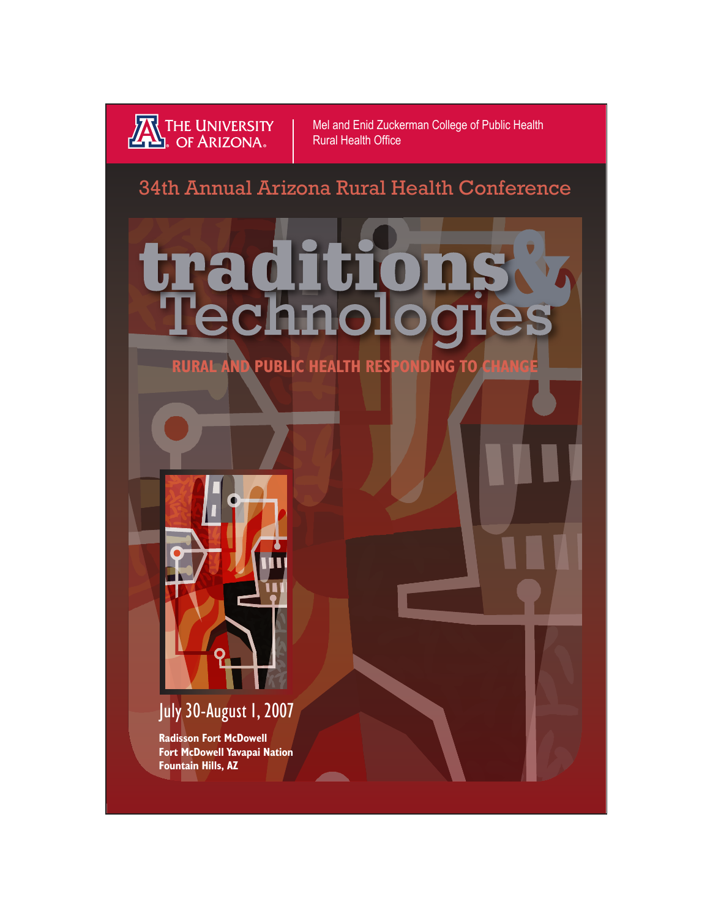

Mel and Enid Zuckerman College of Public Health Rural Health Office

## 34th Annual Arizona Rural Health Conference



**RURAL AND PUBLIC HEALTH RESPONDING TO CHANG** 



# July 30-August 1, 2007

**Radisson Fort McDowell Fort McDowell Yavapai Nation Fountain Hills, AZ**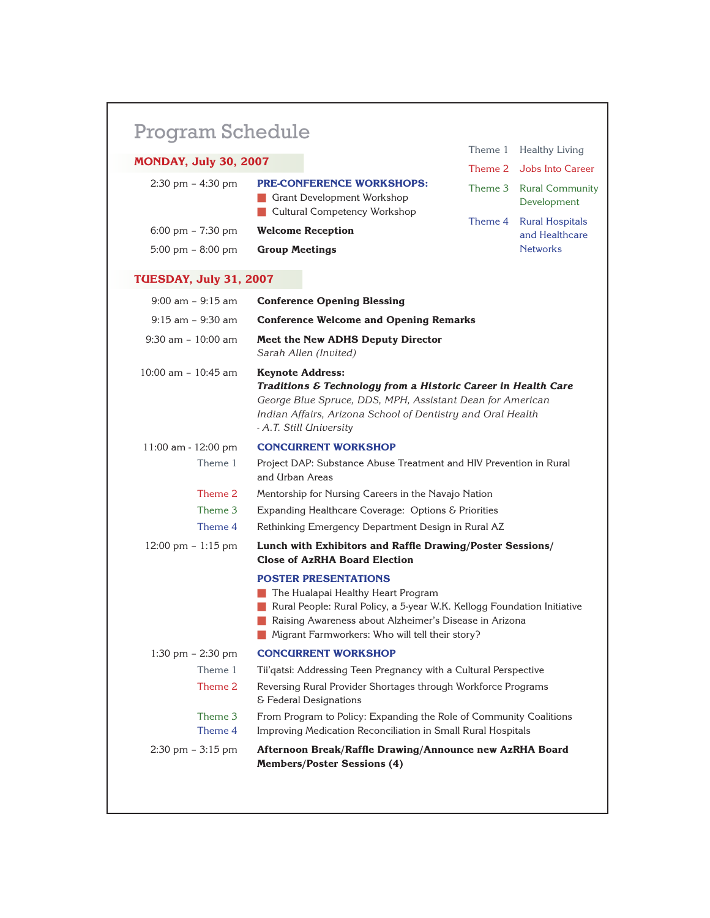# Program Schedule

| <b>MONDAY, July 30, 2007</b>        |                                                                                                       |                                        | Theme 2 Jobs Into Career                  |
|-------------------------------------|-------------------------------------------------------------------------------------------------------|----------------------------------------|-------------------------------------------|
| $2:30 \text{ pm} - 4:30 \text{ pm}$ | <b>PRE-CONFERENCE WORKSHOPS:</b><br><b>Grant Development Workshop</b><br>Cultural Competency Workshop | Theme 3 Rural Community<br>Development |                                           |
| $6:00 \text{ pm} - 7:30 \text{ pm}$ | <b>Welcome Reception</b>                                                                              |                                        | Theme 4 Rural Hospitals<br>and Healthcare |
| $5:00 \text{ pm} - 8:00 \text{ pm}$ | <b>Group Meetings</b>                                                                                 |                                        | <b>Networks</b>                           |

Theme 1 Healthy Living

### **TUESDAY, July 31, 2007**

| $9:00$ am - $9:15$ am  | <b>Conference Opening Blessing</b>                                                                                                                                                                                                                        |
|------------------------|-----------------------------------------------------------------------------------------------------------------------------------------------------------------------------------------------------------------------------------------------------------|
| $9:15$ am - $9:30$ am  | <b>Conference Welcome and Opening Remarks</b>                                                                                                                                                                                                             |
| $9:30$ am - $10:00$ am | <b>Meet the New ADHS Deputy Director</b><br>Sarah Allen (Invited)                                                                                                                                                                                         |
| 10:00 am - 10:45 am    | <b>Keynote Address:</b><br>Traditions & Technology from a Historic Career in Health Care<br>George Blue Spruce, DDS, MPH, Assistant Dean for American<br>Indian Affairs, Arizona School of Dentistry and Oral Health<br>- A.T. Still University           |
| 11:00 am - 12:00 pm    | <b>CONCURRENT WORKSHOP</b>                                                                                                                                                                                                                                |
| Theme 1                | Project DAP: Substance Abuse Treatment and HIV Prevention in Rural<br>and Urban Areas                                                                                                                                                                     |
| Theme 2                | Mentorship for Nursing Careers in the Navajo Nation                                                                                                                                                                                                       |
| Theme 3                | Expanding Healthcare Coverage: Options & Priorities                                                                                                                                                                                                       |
| Theme 4                | Rethinking Emergency Department Design in Rural AZ                                                                                                                                                                                                        |
| 12:00 pm - 1:15 pm     | Lunch with Exhibitors and Raffle Drawing/Poster Sessions/                                                                                                                                                                                                 |
|                        | <b>Close of AzRHA Board Election</b>                                                                                                                                                                                                                      |
|                        | <b>POSTER PRESENTATIONS</b><br>The Hualapai Healthy Heart Program<br>Rural People: Rural Policy, a 5-year W.K. Kellogg Foundation Initiative<br>Raising Awareness about Alzheimer's Disease in Arizona<br>Migrant Farmworkers: Who will tell their story? |
| 1:30 pm $-$ 2:30 pm    | <b>CONCURRENT WORKSHOP</b>                                                                                                                                                                                                                                |
| Theme 1                | Tii'qatsi: Addressing Teen Pregnancy with a Cultural Perspective                                                                                                                                                                                          |
| Theme 2                | Reversing Rural Provider Shortages through Workforce Programs<br>& Federal Designations                                                                                                                                                                   |
| Theme 3                | From Program to Policy: Expanding the Role of Community Coalitions                                                                                                                                                                                        |
| Theme 4                | Improving Medication Reconciliation in Small Rural Hospitals                                                                                                                                                                                              |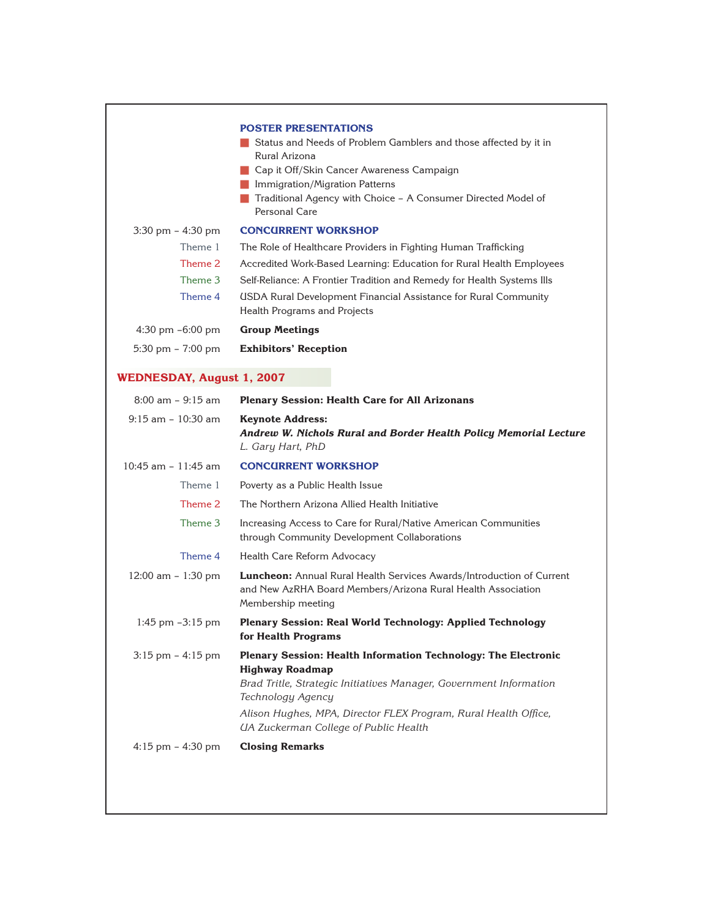|                                     | <b>POSTER PRESENTATIONS</b><br>Status and Needs of Problem Gamblers and those affected by it in<br>Rural Arizona<br>Cap it Off/Skin Cancer Awareness Campaign<br>Immigration/Migration Patterns<br>Traditional Agency with Choice - A Consumer Directed Model of<br>Personal Care               |
|-------------------------------------|-------------------------------------------------------------------------------------------------------------------------------------------------------------------------------------------------------------------------------------------------------------------------------------------------|
| $3:30 \text{ pm} - 4:30 \text{ pm}$ | <b>CONCURRENT WORKSHOP</b>                                                                                                                                                                                                                                                                      |
| Theme 1                             | The Role of Healthcare Providers in Fighting Human Trafficking                                                                                                                                                                                                                                  |
| Theme 2                             | Accredited Work-Based Learning: Education for Rural Health Employees                                                                                                                                                                                                                            |
| Theme 3                             | Self-Reliance: A Frontier Tradition and Remedy for Health Systems Ills                                                                                                                                                                                                                          |
| Theme 4                             | <b>USDA Rural Development Financial Assistance for Rural Community</b><br>Health Programs and Projects                                                                                                                                                                                          |
| $4:30$ pm $-6:00$ pm                | <b>Group Meetings</b>                                                                                                                                                                                                                                                                           |
| 5:30 pm - 7:00 pm                   | <b>Exhibitors' Reception</b>                                                                                                                                                                                                                                                                    |
| <b>WEDNESDAY, August 1, 2007</b>    |                                                                                                                                                                                                                                                                                                 |
| $8:00$ am $-9:15$ am                | <b>Plenary Session: Health Care for All Arizonans</b>                                                                                                                                                                                                                                           |
| $9:15$ am - $10:30$ am              | <b>Keynote Address:</b><br>Andrew W. Nichols Rural and Border Health Policy Memorial Lecture<br>L. Gary Hart, PhD                                                                                                                                                                               |
| $10:45$ am $-11:45$ am              | <b>CONCURRENT WORKSHOP</b>                                                                                                                                                                                                                                                                      |
| Theme 1                             | Poverty as a Public Health Issue                                                                                                                                                                                                                                                                |
| Theme 2                             | The Northern Arizona Allied Health Initiative                                                                                                                                                                                                                                                   |
| Theme 3                             | Increasing Access to Care for Rural/Native American Communities<br>through Community Development Collaborations                                                                                                                                                                                 |
| Theme 4                             | Health Care Reform Advocacy                                                                                                                                                                                                                                                                     |
| 12:00 am - 1:30 pm                  | <b>Luncheon:</b> Annual Rural Health Services Awards/Introduction of Current<br>and New AzRHA Board Members/Arizona Rural Health Association<br>Membership meeting                                                                                                                              |
| 1:45 pm -3:15 pm                    | Plenary Session: Real World Technology: Applied Technology<br>for Health Programs                                                                                                                                                                                                               |
| $3:15$ pm $-4:15$ pm                | Plenary Session: Health Information Technology: The Electronic<br><b>Highway Roadmap</b><br>Brad Tritle, Strategic Initiatives Manager, Government Information<br>Technology Agency<br>Alison Hughes, MPA, Director FLEX Program, Rural Health Office,<br>UA Zuckerman College of Public Health |
| $4:15$ pm $- 4:30$ pm               | <b>Closing Remarks</b>                                                                                                                                                                                                                                                                          |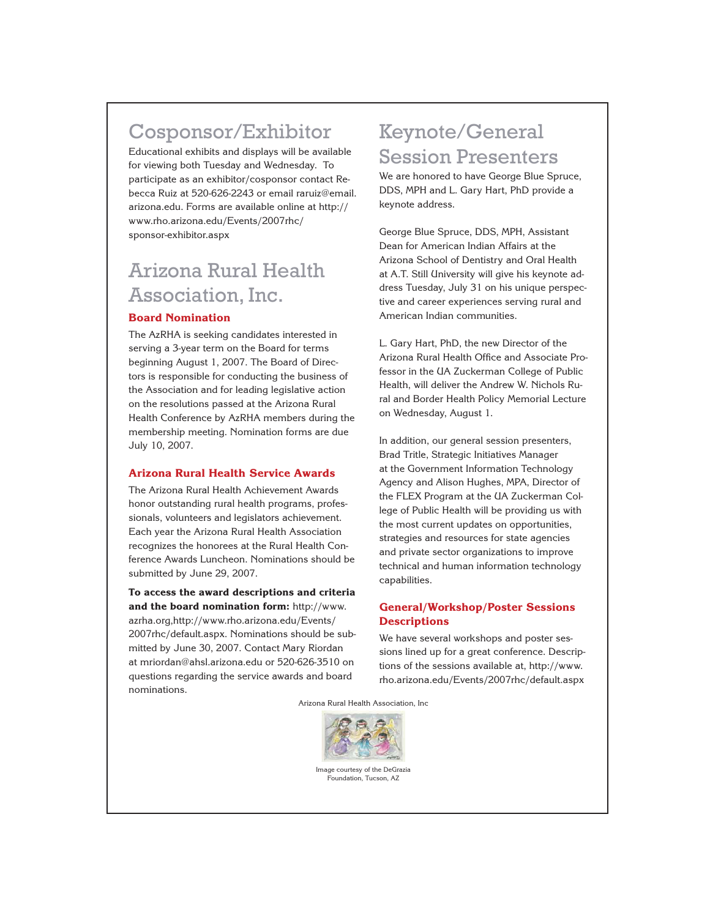## Cosponsor/Exhibitor

Educational exhibits and displays will be available for viewing both Tuesday and Wednesday. To participate as an exhibitor/cosponsor contact Rebecca Ruiz at 520-626-2243 or email raruiz@email. arizona.edu. Forms are available online at http:// www.rho.arizona.edu/Events/2007rhc/ sponsor-exhibitor.aspx

# Arizona Rural Health Association, Inc.

### **Board Nomination**

The AzRHA is seeking candidates interested in serving a 3-year term on the Board for terms beginning August 1, 2007. The Board of Directors is responsible for conducting the business of the Association and for leading legislative action on the resolutions passed at the Arizona Rural Health Conference by AzRHA members during the membership meeting. Nomination forms are due July 10, 2007.

### **Arizona Rural Health Service Awards**

The Arizona Rural Health Achievement Awards honor outstanding rural health programs, professionals, volunteers and legislators achievement. Each year the Arizona Rural Health Association recognizes the honorees at the Rural Health Conference Awards Luncheon. Nominations should be submitted by June 29, 2007.

**To access the award descriptions and criteria and the board nomination form:** http://www. azrha.org,http://www.rho.arizona.edu/Events/ 2007rhc/default.aspx. Nominations should be submitted by June 30, 2007. Contact Mary Riordan at mriordan@ahsl.arizona.edu or 520-626-3510 on questions regarding the service awards and board nominations.

## Keynote/General Session Presenters

We are honored to have George Blue Spruce, DDS, MPH and L. Gary Hart, PhD provide a keynote address.

George Blue Spruce, DDS, MPH, Assistant Dean for American Indian Affairs at the Arizona School of Dentistry and Oral Health at A.T. Still University will give his keynote address Tuesday, July 31 on his unique perspective and career experiences serving rural and American Indian communities.

L. Gary Hart, PhD, the new Director of the Arizona Rural Health Office and Associate Professor in the UA Zuckerman College of Public Health, will deliver the Andrew W. Nichols Rural and Border Health Policy Memorial Lecture on Wednesday, August 1.

In addition, our general session presenters, Brad Tritle, Strategic Initiatives Manager at the Government Information Technology Agency and Alison Hughes, MPA, Director of the FLEX Program at the UA Zuckerman College of Public Health will be providing us with the most current updates on opportunities, strategies and resources for state agencies and private sector organizations to improve technical and human information technology capabilities.

### **General/Workshop/Poster Sessions Descriptions**

We have several workshops and poster sessions lined up for a great conference. Descriptions of the sessions available at, http://www. rho.arizona.edu/Events/2007rhc/default.aspx

Arizona Rural Health Association, Inc



Image courtesy of the DeGrazia Foundation, Tucson, AZ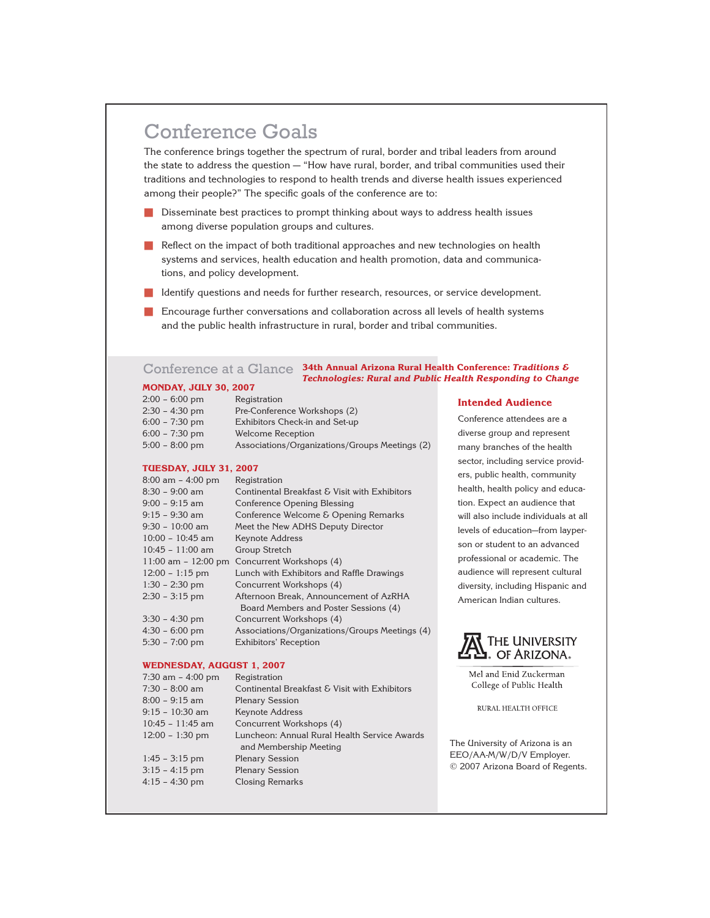## Conference Goals

The conference brings together the spectrum of rural, border and tribal leaders from around the state to address the question — "How have rural, border, and tribal communities used their traditions and technologies to respond to health trends and diverse health issues experienced among their people?" The specific goals of the conference are to:

- **n** Disseminate best practices to prompt thinking about ways to address health issues among diverse population groups and cultures.
- **n** Reflect on the impact of both traditional approaches and new technologies on health systems and services, health education and health promotion, data and communications, and policy development.
- **n** Identify questions and needs for further research, resources, or service development.
- **n** Encourage further conversations and collaboration across all levels of health systems and the public health infrastructure in rural, border and tribal communities.

#### **MONDAY, JULY 30, 2007** Conference at a Glance **34th Annual Arizona Rural Health Conference:** *Traditions & Technologies: Rural and Public Health Responding to Change*

| $2:00 - 6:00$ pm | Registration                                   |
|------------------|------------------------------------------------|
| $2:30 - 4:30$ pm | Pre-Conference Workshops (2)                   |
| $6:00 - 7:30$ pm | Exhibitors Check-in and Set-up                 |
| $6:00 - 7:30$ pm | Welcome Reception                              |
| $5:00 - 8:00$ pm | Associations/Organizations/Groups Meetings (2) |

#### **TUESDAY, JULY 31, 2007**

| $8:00$ am $-4:00$ pm | Registration                                     |
|----------------------|--------------------------------------------------|
| $8:30 - 9:00$ am     | Continental Breakfast & Visit with Exhibitors    |
| $9:00 - 9:15$ am     | Conference Opening Blessing                      |
| $9:15 - 9:30$ am     | Conference Welcome & Opening Remarks             |
| $9:30 - 10:00$ am    | Meet the New ADHS Deputy Director                |
| $10:00 - 10:45$ am   | Keynote Address                                  |
| $10:45 - 11:00$ am   | Group Stretch                                    |
|                      | 11:00 am $-$ 12:00 pm Concurrent Workshops $(4)$ |
| $12:00 - 1:15$ pm    | Lunch with Exhibitors and Raffle Drawings        |
| $1:30 - 2:30$ pm     | Concurrent Workshops (4)                         |
| $2:30 - 3:15$ pm     | Afternoon Break, Announcement of AzRHA           |
|                      | Board Members and Poster Sessions (4)            |
| $3:30 - 4:30$ pm     | Concurrent Workshops (4)                         |
| $4:30 - 6:00$ pm     | Associations/Organizations/Groups Meetings (4)   |
| $5:30 - 7:00$ pm     | Exhibitors' Reception                            |

#### **WEDNESDAY, AUGUST 1, 2007**

| $7:30$ am $-4:00$ pm | Registration                                                           |
|----------------------|------------------------------------------------------------------------|
| $7:30 - 8:00$ am     | Continental Breakfast & Visit with Exhibitors                          |
| $8:00 - 9:15$ am     | <b>Plenary Session</b>                                                 |
| $9:15 - 10:30$ am    | <b>Keynote Address</b>                                                 |
| $10:45 - 11:45$ am   | Concurrent Workshops (4)                                               |
| $12:00 - 1:30$ pm    | Luncheon: Annual Rural Health Service Awards<br>and Membership Meeting |
| $1:45 - 3:15$ pm     | <b>Plenary Session</b>                                                 |
| $3:15 - 4:15$ pm     | <b>Plenary Session</b>                                                 |
| $4:15 - 4:30$ pm     | <b>Closing Remarks</b>                                                 |
|                      |                                                                        |

#### **Intended Audience**

Conference attendees are a diverse group and represent many branches of the health sector, including service providers, public health, community health, health policy and education. Expect an audience that will also include individuals at all levels of education—from layperson or student to an advanced professional or academic. The audience will represent cultural diversity, including Hispanic and American Indian cultures.



Mel and Enid Zuckerman College of Public Health

RURAL HEALTH OFFICE

The University of Arizona is an EEO/AA-M/W/D/V Employer. © 2007 Arizona Board of Regents.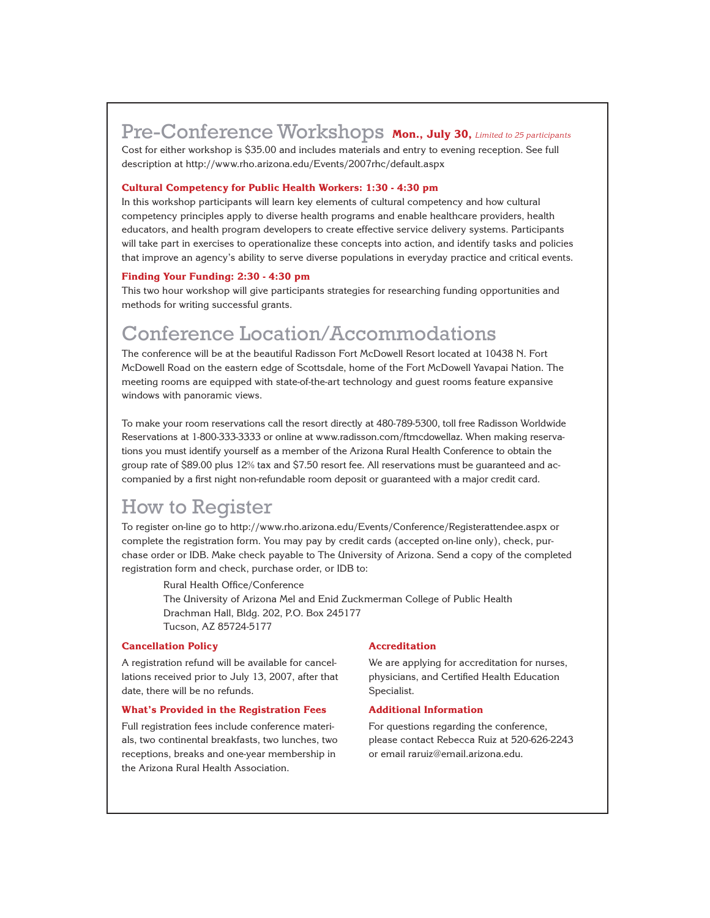## Pre-Conference Workshops **Mon., July 30,** *Limited to 25 participants*

Cost for either workshop is \$35.00 and includes materials and entry to evening reception. See full description at http://www.rho.arizona.edu/Events/2007rhc/default.aspx

### **Cultural Competency for Public Health Workers: 1:30 - 4:30 pm**

In this workshop participants will learn key elements of cultural competency and how cultural competency principles apply to diverse health programs and enable healthcare providers, health educators, and health program developers to create effective service delivery systems. Participants will take part in exercises to operationalize these concepts into action, and identify tasks and policies that improve an agency's ability to serve diverse populations in everyday practice and critical events.

#### **Finding Your Funding: 2:30 - 4:30 pm**

This two hour workshop will give participants strategies for researching funding opportunities and methods for writing successful grants.

## Conference Location/Accommodations

The conference will be at the beautiful Radisson Fort McDowell Resort located at 10438 N. Fort McDowell Road on the eastern edge of Scottsdale, home of the Fort McDowell Yavapai Nation. The meeting rooms are equipped with state-of-the-art technology and guest rooms feature expansive windows with panoramic views.

To make your room reservations call the resort directly at 480-789-5300, toll free Radisson Worldwide Reservations at 1-800-333-3333 or online at www.radisson.com/ftmcdowellaz. When making reservations you must identify yourself as a member of the Arizona Rural Health Conference to obtain the group rate of \$89.00 plus 12% tax and \$7.50 resort fee. All reservations must be guaranteed and accompanied by a first night non-refundable room deposit or guaranteed with a major credit card.

## How to Register

To register on-line go to http://www.rho.arizona.edu/Events/Conference/Registerattendee.aspx or complete the registration form. You may pay by credit cards (accepted on-line only), check, purchase order or IDB. Make check payable to The University of Arizona. Send a copy of the completed registration form and check, purchase order, or IDB to:

Rural Health Office/Conference The University of Arizona Mel and Enid Zuckmerman College of Public Health Drachman Hall, Bldg. 202, P.O. Box 245177 Tucson, AZ 85724-5177

### **Cancellation Policy**

A registration refund will be available for cancellations received prior to July 13, 2007, after that date, there will be no refunds.

#### **What's Provided in the Registration Fees**

Full registration fees include conference materials, two continental breakfasts, two lunches, two receptions, breaks and one-year membership in the Arizona Rural Health Association.

### **Accreditation**

We are applying for accreditation for nurses, physicians, and Certified Health Education Specialist.

#### **Additional Information**

For questions regarding the conference, please contact Rebecca Ruiz at 520-626-2243 or email raruiz@email.arizona.edu.